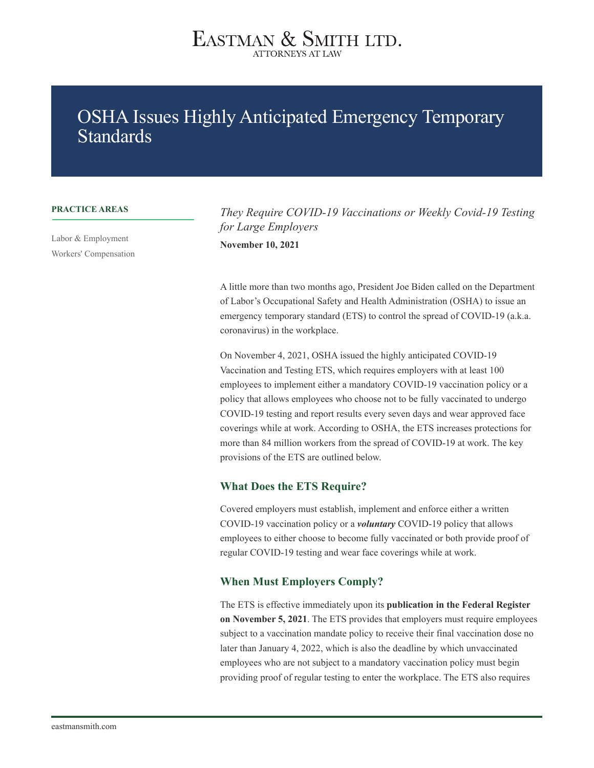### OSHA Issues Highly Anticipated Emergency Temporary Standards

#### **PRACTICE AREAS**

Labor & Employment Workers' Compensation

*They Require COVID-19 Vaccinations or Weekly Covid-19 Testing for Large Employers* **November 10, 2021**

A little more than two months ago, President Joe Biden called on the Department of Labor's Occupational Safety and Health Administration (OSHA) to issue an emergency temporary standard (ETS) to control the spread of COVID-19 (a.k.a. coronavirus) in the workplace.

On November 4, 2021, OSHA issued the highly anticipated COVID-19 Vaccination and Testing ETS, which requires employers with at least 100 employees to implement either a mandatory COVID-19 vaccination policy or a policy that allows employees who choose not to be fully vaccinated to undergo COVID-19 testing and report results every seven days and wear approved face coverings while at work. According to OSHA, the ETS increases protections for more than 84 million workers from the spread of COVID-19 at work. The key provisions of the ETS are outlined below.

#### **What Does the ETS Require?**

Covered employers must establish, implement and enforce either a written COVID-19 vaccination policy or a *voluntary* COVID-19 policy that allows employees to either choose to become fully vaccinated or both provide proof of regular COVID-19 testing and wear face coverings while at work.

#### **When Must Employers Comply?**

The ETS is effective immediately upon its **publication in the Federal Register on November 5, 2021**. The ETS provides that employers must require employees subject to a vaccination mandate policy to receive their final vaccination dose no later than January 4, 2022, which is also the deadline by which unvaccinated employees who are not subject to a mandatory vaccination policy must begin providing proof of regular testing to enter the workplace. The ETS also requires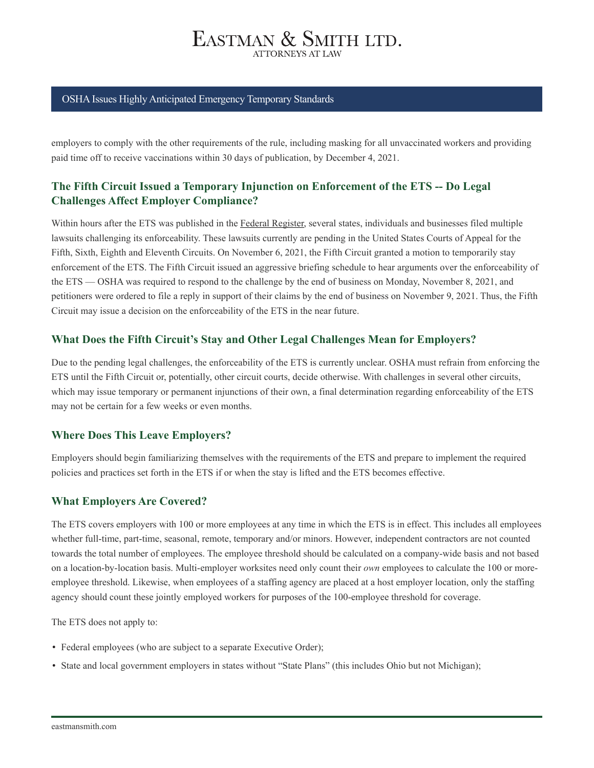#### OSHA Issues Highly Anticipated Emergency Temporary Standards

employers to comply with the other requirements of the rule, including masking for all unvaccinated workers and providing paid time off to receive vaccinations within 30 days of publication, by December 4, 2021.

#### **The Fifth Circuit Issued a Temporary Injunction on Enforcement of the ETS -- Do Legal Challenges Affect Employer Compliance?**

Within hours after the ETS was published in the Federal Register, several states, individuals and businesses filed multiple lawsuits challenging its enforceability. These lawsuits currently are pending in the United States Courts of Appeal for the Fifth, Sixth, Eighth and Eleventh Circuits. On November 6, 2021, the Fifth Circuit granted a motion to temporarily stay enforcement of the ETS. The Fifth Circuit issued an aggressive briefing schedule to hear arguments over the enforceability of the ETS — OSHA was required to respond to the challenge by the end of business on Monday, November 8, 2021, and petitioners were ordered to file a reply in support of their claims by the end of business on November 9, 2021. Thus, the Fifth Circuit may issue a decision on the enforceability of the ETS in the near future.

#### **What Does the Fifth Circuit's Stay and Other Legal Challenges Mean for Employers?**

Due to the pending legal challenges, the enforceability of the ETS is currently unclear. OSHA must refrain from enforcing the ETS until the Fifth Circuit or, potentially, other circuit courts, decide otherwise. With challenges in several other circuits, which may issue temporary or permanent injunctions of their own, a final determination regarding enforceability of the ETS may not be certain for a few weeks or even months.

#### **Where Does This Leave Employers?**

Employers should begin familiarizing themselves with the requirements of the ETS and prepare to implement the required policies and practices set forth in the ETS if or when the stay is lifted and the ETS becomes effective.

#### **What Employers Are Covered?**

The ETS covers employers with 100 or more employees at any time in which the ETS is in effect. This includes all employees whether full-time, part-time, seasonal, remote, temporary and/or minors. However, independent contractors are not counted towards the total number of employees. The employee threshold should be calculated on a company-wide basis and not based on a location-by-location basis. Multi-employer worksites need only count their *own* employees to calculate the 100 or moreemployee threshold. Likewise, when employees of a staffing agency are placed at a host employer location, only the staffing agency should count these jointly employed workers for purposes of the 100-employee threshold for coverage.

The ETS does not apply to:

- Federal employees (who are subject to a separate Executive Order);
- State and local government employers in states without "State Plans" (this includes Ohio but not Michigan);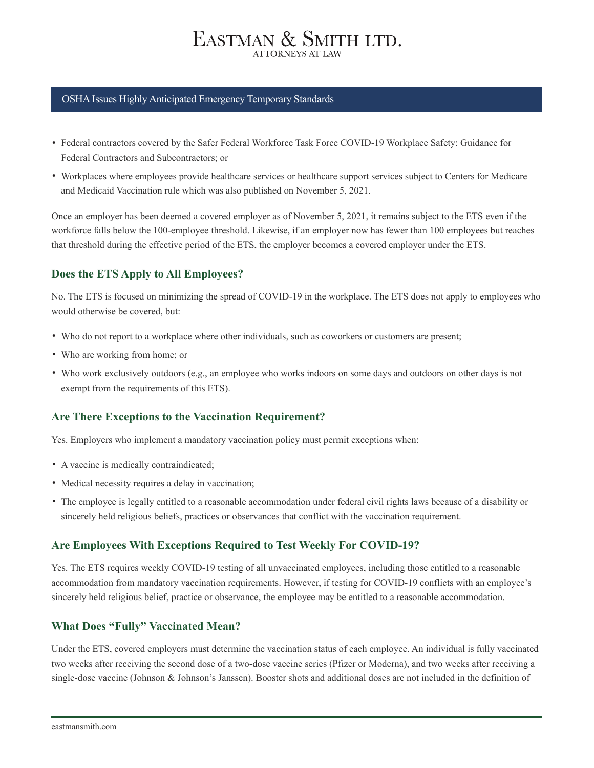#### OSHA Issues Highly Anticipated Emergency Temporary Standards

- Federal contractors covered by the Safer Federal Workforce Task Force COVID-19 Workplace Safety: Guidance for Federal Contractors and Subcontractors; or
- Workplaces where employees provide healthcare services or healthcare support services subject to Centers for Medicare and Medicaid Vaccination rule which was also published on November 5, 2021.

Once an employer has been deemed a covered employer as of November 5, 2021, it remains subject to the ETS even if the workforce falls below the 100-employee threshold. Likewise, if an employer now has fewer than 100 employees but reaches that threshold during the effective period of the ETS, the employer becomes a covered employer under the ETS.

#### **Does the ETS Apply to All Employees?**

No. The ETS is focused on minimizing the spread of COVID-19 in the workplace. The ETS does not apply to employees who would otherwise be covered, but:

- Who do not report to a workplace where other individuals, such as coworkers or customers are present;
- Who are working from home; or
- Who work exclusively outdoors (e.g., an employee who works indoors on some days and outdoors on other days is not exempt from the requirements of this ETS).

#### **Are There Exceptions to the Vaccination Requirement?**

Yes. Employers who implement a mandatory vaccination policy must permit exceptions when:

- A vaccine is medically contraindicated;
- Medical necessity requires a delay in vaccination;
- The employee is legally entitled to a reasonable accommodation under federal civil rights laws because of a disability or sincerely held religious beliefs, practices or observances that conflict with the vaccination requirement.

#### **Are Employees With Exceptions Required to Test Weekly For COVID-19?**

Yes. The ETS requires weekly COVID-19 testing of all unvaccinated employees, including those entitled to a reasonable accommodation from mandatory vaccination requirements. However, if testing for COVID-19 conflicts with an employee's sincerely held religious belief, practice or observance, the employee may be entitled to a reasonable accommodation.

#### **What Does "Fully" Vaccinated Mean?**

Under the ETS, covered employers must determine the vaccination status of each employee. An individual is fully vaccinated two weeks after receiving the second dose of a two-dose vaccine series (Pfizer or Moderna), and two weeks after receiving a single-dose vaccine (Johnson & Johnson's Janssen). Booster shots and additional doses are not included in the definition of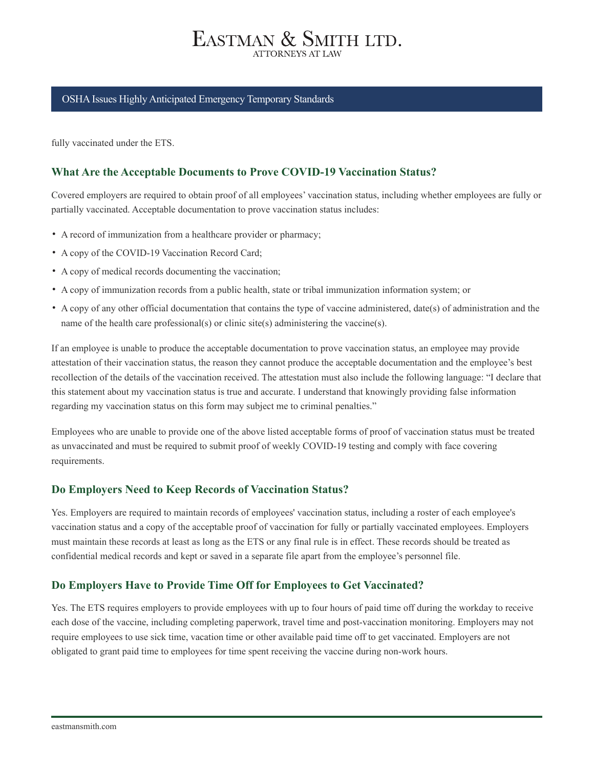#### OSHA Issues Highly Anticipated Emergency Temporary Standards

fully vaccinated under the ETS.

#### **What Are the Acceptable Documents to Prove COVID-19 Vaccination Status?**

Covered employers are required to obtain proof of all employees' vaccination status, including whether employees are fully or partially vaccinated. Acceptable documentation to prove vaccination status includes:

- A record of immunization from a healthcare provider or pharmacy;
- A copy of the COVID-19 Vaccination Record Card;
- A copy of medical records documenting the vaccination;
- A copy of immunization records from a public health, state or tribal immunization information system; or
- A copy of any other official documentation that contains the type of vaccine administered, date(s) of administration and the name of the health care professional(s) or clinic site(s) administering the vaccine(s).

If an employee is unable to produce the acceptable documentation to prove vaccination status, an employee may provide attestation of their vaccination status, the reason they cannot produce the acceptable documentation and the employee's best recollection of the details of the vaccination received. The attestation must also include the following language: "I declare that this statement about my vaccination status is true and accurate. I understand that knowingly providing false information regarding my vaccination status on this form may subject me to criminal penalties."

Employees who are unable to provide one of the above listed acceptable forms of proof of vaccination status must be treated as unvaccinated and must be required to submit proof of weekly COVID-19 testing and comply with face covering requirements.

#### **Do Employers Need to Keep Records of Vaccination Status?**

Yes. Employers are required to maintain records of employees' vaccination status, including a roster of each employee's vaccination status and a copy of the acceptable proof of vaccination for fully or partially vaccinated employees. Employers must maintain these records at least as long as the ETS or any final rule is in effect. These records should be treated as confidential medical records and kept or saved in a separate file apart from the employee's personnel file.

#### **Do Employers Have to Provide Time Off for Employees to Get Vaccinated?**

Yes. The ETS requires employers to provide employees with up to four hours of paid time off during the workday to receive each dose of the vaccine, including completing paperwork, travel time and post-vaccination monitoring. Employers may not require employees to use sick time, vacation time or other available paid time off to get vaccinated. Employers are not obligated to grant paid time to employees for time spent receiving the vaccine during non-work hours.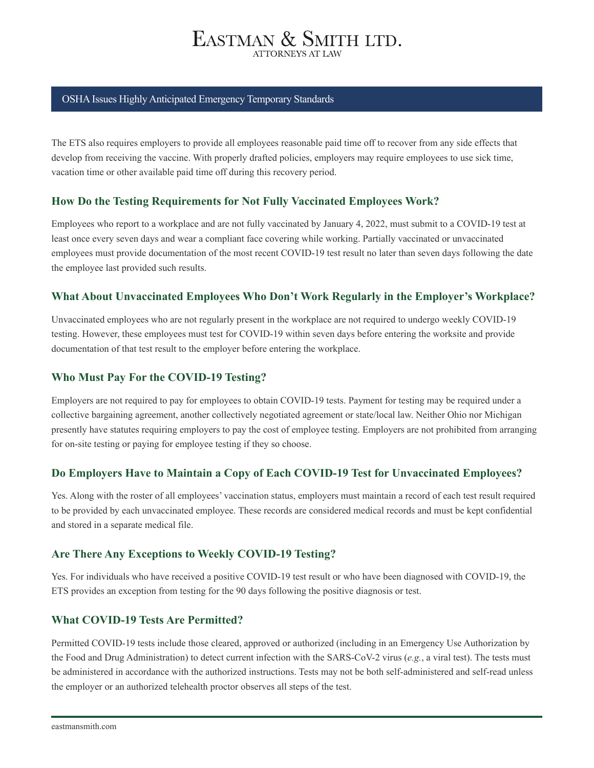#### OSHA Issues Highly Anticipated Emergency Temporary Standards

The ETS also requires employers to provide all employees reasonable paid time off to recover from any side effects that develop from receiving the vaccine. With properly drafted policies, employers may require employees to use sick time, vacation time or other available paid time off during this recovery period.

#### **How Do the Testing Requirements for Not Fully Vaccinated Employees Work?**

Employees who report to a workplace and are not fully vaccinated by January 4, 2022, must submit to a COVID-19 test at least once every seven days and wear a compliant face covering while working. Partially vaccinated or unvaccinated employees must provide documentation of the most recent COVID-19 test result no later than seven days following the date the employee last provided such results.

#### **What About Unvaccinated Employees Who Don't Work Regularly in the Employer's Workplace?**

Unvaccinated employees who are not regularly present in the workplace are not required to undergo weekly COVID-19 testing. However, these employees must test for COVID-19 within seven days before entering the worksite and provide documentation of that test result to the employer before entering the workplace.

#### **Who Must Pay For the COVID-19 Testing?**

Employers are not required to pay for employees to obtain COVID-19 tests. Payment for testing may be required under a collective bargaining agreement, another collectively negotiated agreement or state/local law. Neither Ohio nor Michigan presently have statutes requiring employers to pay the cost of employee testing. Employers are not prohibited from arranging for on-site testing or paying for employee testing if they so choose.

#### **Do Employers Have to Maintain a Copy of Each COVID-19 Test for Unvaccinated Employees?**

Yes. Along with the roster of all employees' vaccination status, employers must maintain a record of each test result required to be provided by each unvaccinated employee. These records are considered medical records and must be kept confidential and stored in a separate medical file.

#### **Are There Any Exceptions to Weekly COVID-19 Testing?**

Yes. For individuals who have received a positive COVID-19 test result or who have been diagnosed with COVID-19, the ETS provides an exception from testing for the 90 days following the positive diagnosis or test.

#### **What COVID-19 Tests Are Permitted?**

Permitted COVID-19 tests include those cleared, approved or authorized (including in an Emergency Use Authorization by the Food and Drug Administration) to detect current infection with the SARS-CoV-2 virus (*e.g.*, a viral test). The tests must be administered in accordance with the authorized instructions. Tests may not be both self-administered and self-read unless the employer or an authorized telehealth proctor observes all steps of the test.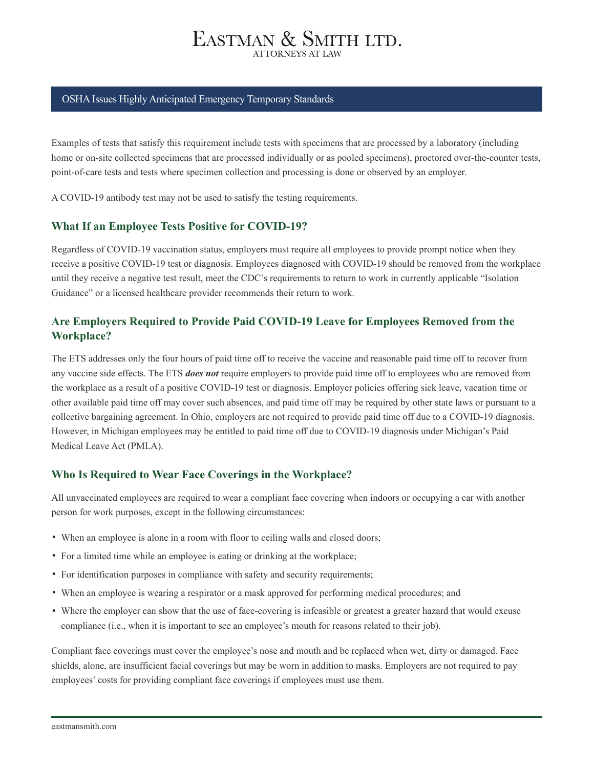#### OSHA Issues Highly Anticipated Emergency Temporary Standards

Examples of tests that satisfy this requirement include tests with specimens that are processed by a laboratory (including home or on-site collected specimens that are processed individually or as pooled specimens), proctored over-the-counter tests, point-of-care tests and tests where specimen collection and processing is done or observed by an employer.

A COVID-19 antibody test may not be used to satisfy the testing requirements.

#### **What If an Employee Tests Positive for COVID-19?**

Regardless of COVID-19 vaccination status, employers must require all employees to provide prompt notice when they receive a positive COVID-19 test or diagnosis. Employees diagnosed with COVID-19 should be removed from the workplace until they receive a negative test result, meet the CDC's requirements to return to work in currently applicable "Isolation Guidance" or a licensed healthcare provider recommends their return to work.

#### **Are Employers Required to Provide Paid COVID-19 Leave for Employees Removed from the Workplace?**

The ETS addresses only the four hours of paid time off to receive the vaccine and reasonable paid time off to recover from any vaccine side effects. The ETS *does not* require employers to provide paid time off to employees who are removed from the workplace as a result of a positive COVID-19 test or diagnosis. Employer policies offering sick leave, vacation time or other available paid time off may cover such absences, and paid time off may be required by other state laws or pursuant to a collective bargaining agreement. In Ohio, employers are not required to provide paid time off due to a COVID-19 diagnosis. However, in Michigan employees may be entitled to paid time off due to COVID-19 diagnosis under Michigan's Paid Medical Leave Act (PMLA).

#### **Who Is Required to Wear Face Coverings in the Workplace?**

All unvaccinated employees are required to wear a compliant face covering when indoors or occupying a car with another person for work purposes, except in the following circumstances:

- When an employee is alone in a room with floor to ceiling walls and closed doors;
- For a limited time while an employee is eating or drinking at the workplace;
- For identification purposes in compliance with safety and security requirements;
- When an employee is wearing a respirator or a mask approved for performing medical procedures; and
- Where the employer can show that the use of face-covering is infeasible or greatest a greater hazard that would excuse compliance (i.e., when it is important to see an employee's mouth for reasons related to their job).

Compliant face coverings must cover the employee's nose and mouth and be replaced when wet, dirty or damaged. Face shields, alone, are insufficient facial coverings but may be worn in addition to masks. Employers are not required to pay employees' costs for providing compliant face coverings if employees must use them.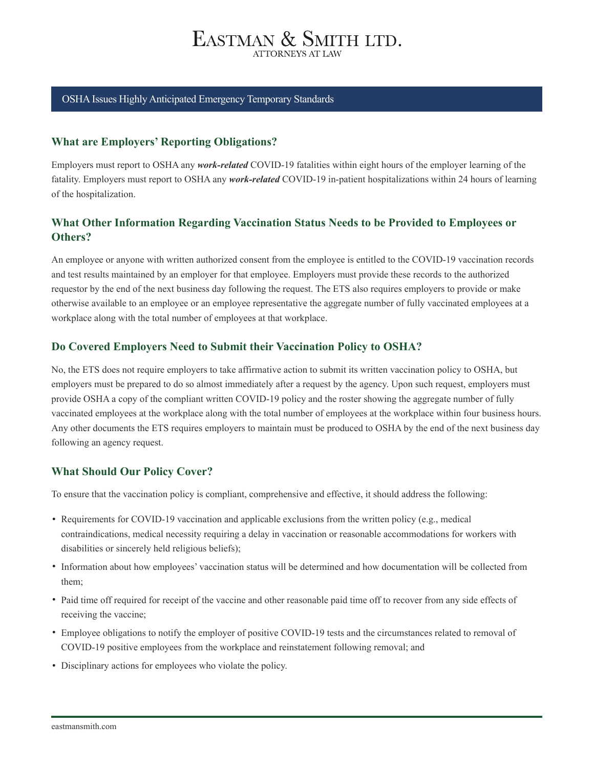#### OSHA Issues Highly Anticipated Emergency Temporary Standards

#### **What are Employers' Reporting Obligations?**

Employers must report to OSHA any *work-related* COVID-19 fatalities within eight hours of the employer learning of the fatality. Employers must report to OSHA any *work-related* COVID-19 in-patient hospitalizations within 24 hours of learning of the hospitalization.

#### **What Other Information Regarding Vaccination Status Needs to be Provided to Employees or Others?**

An employee or anyone with written authorized consent from the employee is entitled to the COVID-19 vaccination records and test results maintained by an employer for that employee. Employers must provide these records to the authorized requestor by the end of the next business day following the request. The ETS also requires employers to provide or make otherwise available to an employee or an employee representative the aggregate number of fully vaccinated employees at a workplace along with the total number of employees at that workplace.

#### **Do Covered Employers Need to Submit their Vaccination Policy to OSHA?**

No, the ETS does not require employers to take affirmative action to submit its written vaccination policy to OSHA, but employers must be prepared to do so almost immediately after a request by the agency. Upon such request, employers must provide OSHA a copy of the compliant written COVID-19 policy and the roster showing the aggregate number of fully vaccinated employees at the workplace along with the total number of employees at the workplace within four business hours. Any other documents the ETS requires employers to maintain must be produced to OSHA by the end of the next business day following an agency request.

#### **What Should Our Policy Cover?**

To ensure that the vaccination policy is compliant, comprehensive and effective, it should address the following:

- Requirements for COVID-19 vaccination and applicable exclusions from the written policy (e.g., medical contraindications, medical necessity requiring a delay in vaccination or reasonable accommodations for workers with disabilities or sincerely held religious beliefs);
- Information about how employees' vaccination status will be determined and how documentation will be collected from them;
- Paid time off required for receipt of the vaccine and other reasonable paid time off to recover from any side effects of receiving the vaccine;
- Employee obligations to notify the employer of positive COVID-19 tests and the circumstances related to removal of COVID-19 positive employees from the workplace and reinstatement following removal; and
- Disciplinary actions for employees who violate the policy.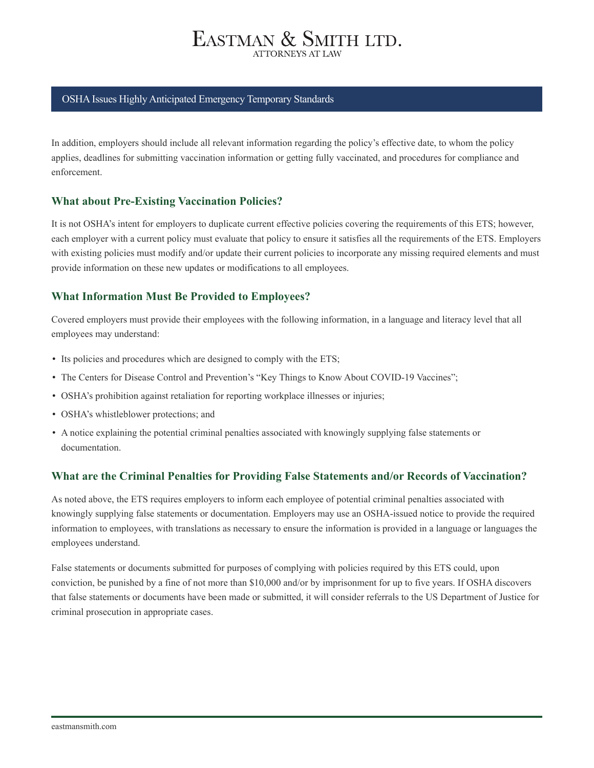#### OSHA Issues Highly Anticipated Emergency Temporary Standards

In addition, employers should include all relevant information regarding the policy's effective date, to whom the policy applies, deadlines for submitting vaccination information or getting fully vaccinated, and procedures for compliance and enforcement.

#### **What about Pre-Existing Vaccination Policies?**

It is not OSHA's intent for employers to duplicate current effective policies covering the requirements of this ETS; however, each employer with a current policy must evaluate that policy to ensure it satisfies all the requirements of the ETS. Employers with existing policies must modify and/or update their current policies to incorporate any missing required elements and must provide information on these new updates or modifications to all employees.

#### **What Information Must Be Provided to Employees?**

Covered employers must provide their employees with the following information, in a language and literacy level that all employees may understand:

- Its policies and procedures which are designed to comply with the ETS;
- The Centers for Disease Control and Prevention's "Key Things to Know About COVID-19 Vaccines";
- OSHA's prohibition against retaliation for reporting workplace illnesses or injuries;
- OSHA's whistleblower protections; and
- A notice explaining the potential criminal penalties associated with knowingly supplying false statements or documentation.

#### **What are the Criminal Penalties for Providing False Statements and/or Records of Vaccination?**

As noted above, the ETS requires employers to inform each employee of potential criminal penalties associated with knowingly supplying false statements or documentation. Employers may use an OSHA-issued notice to provide the required information to employees, with translations as necessary to ensure the information is provided in a language or languages the employees understand.

False statements or documents submitted for purposes of complying with policies required by this ETS could, upon conviction, be punished by a fine of not more than \$10,000 and/or by imprisonment for up to five years. If OSHA discovers that false statements or documents have been made or submitted, it will consider referrals to the US Department of Justice for criminal prosecution in appropriate cases.